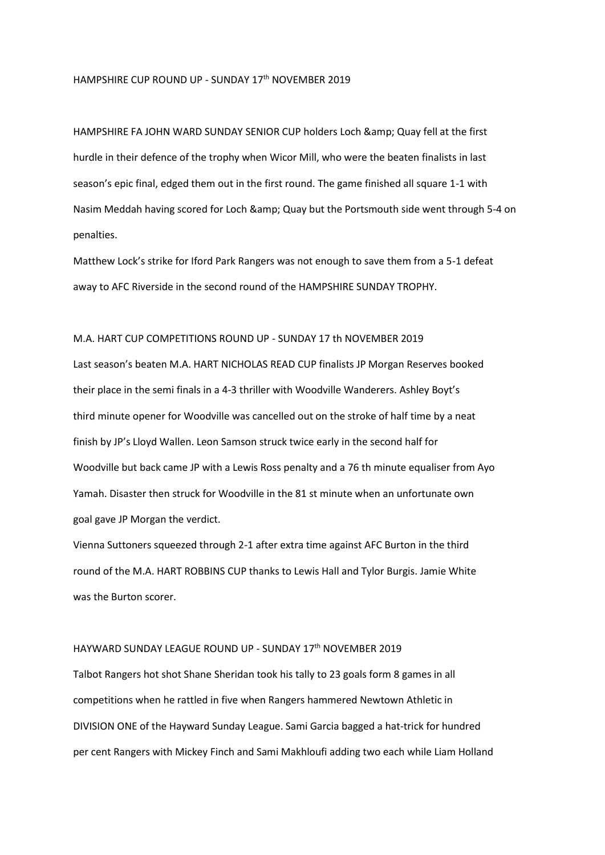## HAMPSHIRE CUP ROUND UP - SUNDAY 17<sup>th</sup> NOVEMBER 2019

HAMPSHIRE FA JOHN WARD SUNDAY SENIOR CUP holders Loch & amp; Quay fell at the first hurdle in their defence of the trophy when Wicor Mill, who were the beaten finalists in last season's epic final, edged them out in the first round. The game finished all square 1-1 with Nasim Meddah having scored for Loch & amp; Quay but the Portsmouth side went through 5-4 on penalties.

Matthew Lock's strike for Iford Park Rangers was not enough to save them from a 5-1 defeat away to AFC Riverside in the second round of the HAMPSHIRE SUNDAY TROPHY.

## M.A. HART CUP COMPETITIONS ROUND UP - SUNDAY 17 th NOVEMBER 2019

Last season's beaten M.A. HART NICHOLAS READ CUP finalists JP Morgan Reserves booked their place in the semi finals in a 4-3 thriller with Woodville Wanderers. Ashley Boyt's third minute opener for Woodville was cancelled out on the stroke of half time by a neat finish by JP's Lloyd Wallen. Leon Samson struck twice early in the second half for Woodville but back came JP with a Lewis Ross penalty and a 76 th minute equaliser from Ayo Yamah. Disaster then struck for Woodville in the 81 st minute when an unfortunate own goal gave JP Morgan the verdict.

Vienna Suttoners squeezed through 2-1 after extra time against AFC Burton in the third round of the M.A. HART ROBBINS CUP thanks to Lewis Hall and Tylor Burgis. Jamie White was the Burton scorer.

## HAYWARD SUNDAY LEAGUE ROUND UP - SUNDAY 17th NOVEMBER 2019

Talbot Rangers hot shot Shane Sheridan took his tally to 23 goals form 8 games in all competitions when he rattled in five when Rangers hammered Newtown Athletic in DIVISION ONE of the Hayward Sunday League. Sami Garcia bagged a hat-trick for hundred per cent Rangers with Mickey Finch and Sami Makhloufi adding two each while Liam Holland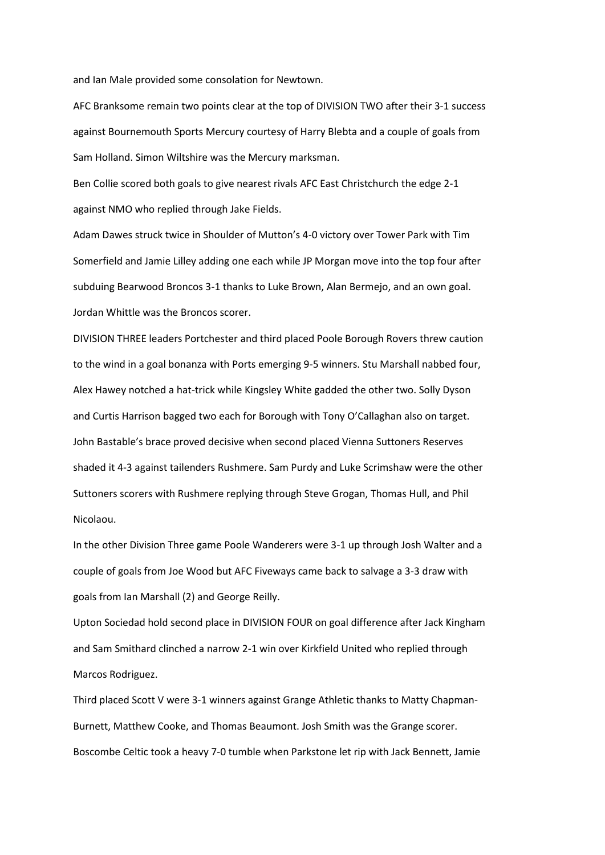and Ian Male provided some consolation for Newtown.

AFC Branksome remain two points clear at the top of DIVISION TWO after their 3-1 success against Bournemouth Sports Mercury courtesy of Harry Blebta and a couple of goals from Sam Holland. Simon Wiltshire was the Mercury marksman.

Ben Collie scored both goals to give nearest rivals AFC East Christchurch the edge 2-1 against NMO who replied through Jake Fields.

Adam Dawes struck twice in Shoulder of Mutton's 4-0 victory over Tower Park with Tim Somerfield and Jamie Lilley adding one each while JP Morgan move into the top four after subduing Bearwood Broncos 3-1 thanks to Luke Brown, Alan Bermejo, and an own goal. Jordan Whittle was the Broncos scorer.

DIVISION THREE leaders Portchester and third placed Poole Borough Rovers threw caution to the wind in a goal bonanza with Ports emerging 9-5 winners. Stu Marshall nabbed four, Alex Hawey notched a hat-trick while Kingsley White gadded the other two. Solly Dyson and Curtis Harrison bagged two each for Borough with Tony O'Callaghan also on target. John Bastable's brace proved decisive when second placed Vienna Suttoners Reserves shaded it 4-3 against tailenders Rushmere. Sam Purdy and Luke Scrimshaw were the other Suttoners scorers with Rushmere replying through Steve Grogan, Thomas Hull, and Phil Nicolaou.

In the other Division Three game Poole Wanderers were 3-1 up through Josh Walter and a couple of goals from Joe Wood but AFC Fiveways came back to salvage a 3-3 draw with goals from Ian Marshall (2) and George Reilly.

Upton Sociedad hold second place in DIVISION FOUR on goal difference after Jack Kingham and Sam Smithard clinched a narrow 2-1 win over Kirkfield United who replied through Marcos Rodriguez.

Third placed Scott V were 3-1 winners against Grange Athletic thanks to Matty Chapman-Burnett, Matthew Cooke, and Thomas Beaumont. Josh Smith was the Grange scorer. Boscombe Celtic took a heavy 7-0 tumble when Parkstone let rip with Jack Bennett, Jamie